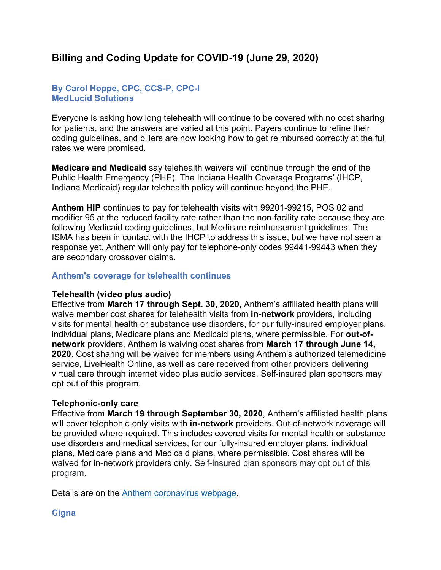# **Billing and Coding Update for COVID-19 (June 29, 2020)**

## **By Carol Hoppe, CPC, CCS-P, CPC-I MedLucid Solutions**

Everyone is asking how long telehealth will continue to be covered with no cost sharing for patients, and the answers are varied at this point. Payers continue to refine their coding guidelines, and billers are now looking how to get reimbursed correctly at the full rates we were promised.

**Medicare and Medicaid** say telehealth waivers will continue through the end of the Public Health Emergency (PHE). The Indiana Health Coverage Programs' (IHCP, Indiana Medicaid) regular telehealth policy will continue beyond the PHE.

**Anthem HIP** continues to pay for telehealth visits with 99201-99215, POS 02 and modifier 95 at the reduced facility rate rather than the non-facility rate because they are following Medicaid coding guidelines, but Medicare reimbursement guidelines. The ISMA has been in contact with the IHCP to address this issue, but we have not seen a response yet. Anthem will only pay for telephone-only codes 99441-99443 when they are secondary crossover claims.

## **Anthem's coverage for telehealth continues**

### **Telehealth (video plus audio)**

Effective from **March 17 through Sept. 30, 2020,** Anthem's affiliated health plans will waive member cost shares for telehealth visits from **in-network** providers, including visits for mental health or substance use disorders, for our fully-insured employer plans, individual plans, Medicare plans and Medicaid plans, where permissible. For **out-ofnetwork** providers, Anthem is waiving cost shares from **March 17 through June 14, 2020**. Cost sharing will be waived for members using Anthem's authorized telemedicine service, LiveHealth Online, as well as care received from other providers delivering virtual care through internet video plus audio services. Self-insured plan sponsors may opt out of this program.

### **Telephonic-only care**

Effective from **March 19 through September 30, 2020**, Anthem's affiliated health plans will cover telephonic-only visits with **in-network** providers. Out-of-network coverage will be provided where required. This includes covered visits for mental health or substance use disorders and medical services, for our fully-insured employer plans, individual plans, Medicare plans and Medicaid plans, where permissible. Cost shares will be waived for in-network providers only. Self-insured plan sponsors may opt out of this program.

Details are on the [Anthem coronavirus webpage.](https://nam12.safelinks.protection.outlook.com/?url=https%3A%2F%2Fprovidernews.anthem.com%2Findiana%2Farticle%2Finformation-from-anthem-for-care-providers-about-covid-19-6&data=02%7C01%7CJDart%40ismanet.org%7Cbfc021ed5393401fac9d08d81b76d197%7C6ae61a81794148248fc34b9173e44561%7C0%7C0%7C637289544426610219&sdata=1dQokr94n6CM1m668XTmrIBspF1N7fvihkiG6gKDpys%3D&reserved=0)

## **Cigna**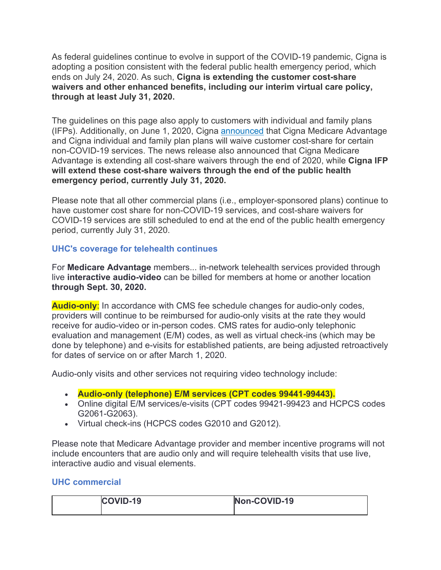As federal guidelines continue to evolve in support of the COVID-19 pandemic, Cigna is adopting a position consistent with the federal public health emergency period, which ends on July 24, 2020. As such, **Cigna is extending the customer cost-share waivers and other enhanced benefits, including our interim virtual care policy, through at least July 31, 2020.**

The guidelines on this page also apply to customers with individual and family plans (IFPs). Additionally, on June 1, 2020, Cigna [announced](https://nam12.safelinks.protection.outlook.com/?url=https%3A%2F%2Fwww.cigna.com%2Fnewsroom%2Fnews-releases%2F2020%2Fcigna-expands-and-extends-its-covid-19-relief-efforts-for-medicare-advantage-and-individual-and-family-plans&data=02%7C01%7CJDart%40ismanet.org%7Cbfc021ed5393401fac9d08d81b76d197%7C6ae61a81794148248fc34b9173e44561%7C0%7C0%7C637289544426620215&sdata=lKkRUEkvKSqLC8L6Wk%2ByFjkjCVD5l3Lme8ixIttKYpY%3D&reserved=0) that Cigna Medicare Advantage and Cigna individual and family plan plans will waive customer cost-share for certain non-COVID-19 services. The news release also announced that Cigna Medicare Advantage is extending all cost-share waivers through the end of 2020, while **Cigna IFP will extend these cost-share waivers through the end of the public health emergency period, currently July 31, 2020.**

Please note that all other commercial plans (i.e., employer-sponsored plans) continue to have customer cost share for non-COVID-19 services, and cost-share waivers for COVID-19 services are still scheduled to end at the end of the public health emergency period, currently July 31, 2020.

# **UHC's coverage for telehealth continues**

For **Medicare Advantage** members... in-network telehealth services provided through live **interactive audio-video** can be billed for members at home or another location **through Sept. 30, 2020.**

**Audio-only:** In accordance with CMS fee schedule changes for audio-only codes, providers will continue to be reimbursed for audio-only visits at the rate they would receive for audio-video or in-person codes. CMS rates for audio-only telephonic evaluation and management (E/M) codes, as well as virtual check-ins (which may be done by telephone) and e-visits for established patients, are being adjusted retroactively for dates of service on or after March 1, 2020.

Audio-only visits and other services not requiring video technology include:

- **Audio-only (telephone) E/M services (CPT codes 99441-99443).**
- Online digital E/M services/e-visits (CPT codes 99421-99423 and HCPCS codes G2061-G2063).
- Virtual check-ins (HCPCS codes G2010 and G2012).

Please note that Medicare Advantage provider and member incentive programs will not include encounters that are audio only and will require telehealth visits that use live, interactive audio and visual elements.

# **UHC commercial**

| COVID-19 | Non-COVID-19 |
|----------|--------------|
|          |              |